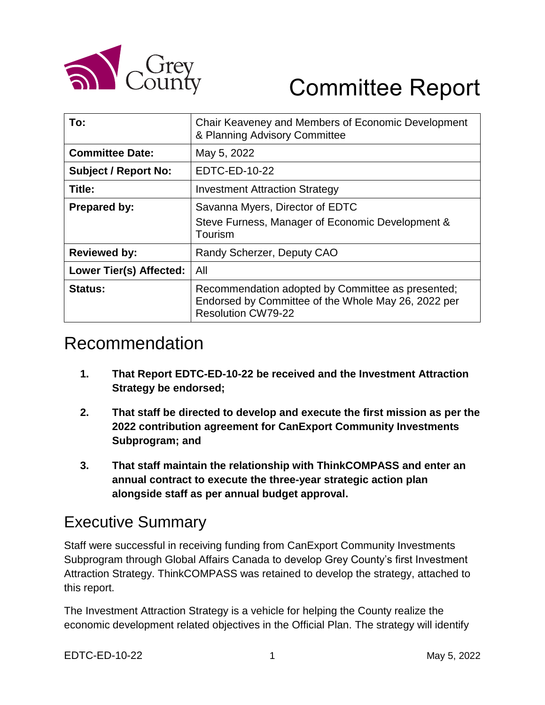

# Committee Report

| To:                            | Chair Keaveney and Members of Economic Development<br>& Planning Advisory Committee                                                   |
|--------------------------------|---------------------------------------------------------------------------------------------------------------------------------------|
| <b>Committee Date:</b>         | May 5, 2022                                                                                                                           |
| <b>Subject / Report No:</b>    | EDTC-ED-10-22                                                                                                                         |
| Title:                         | <b>Investment Attraction Strategy</b>                                                                                                 |
| Prepared by:                   | Savanna Myers, Director of EDTC<br>Steve Furness, Manager of Economic Development &<br>Tourism                                        |
| <b>Reviewed by:</b>            | Randy Scherzer, Deputy CAO                                                                                                            |
| <b>Lower Tier(s) Affected:</b> | All                                                                                                                                   |
| <b>Status:</b>                 | Recommendation adopted by Committee as presented;<br>Endorsed by Committee of the Whole May 26, 2022 per<br><b>Resolution CW79-22</b> |

### Recommendation

- **1. That Report EDTC-ED-10-22 be received and the Investment Attraction Strategy be endorsed;**
- **2. That staff be directed to develop and execute the first mission as per the 2022 contribution agreement for CanExport Community Investments Subprogram; and**
- **3. That staff maintain the relationship with ThinkCOMPASS and enter an annual contract to execute the three-year strategic action plan alongside staff as per annual budget approval.**

### Executive Summary

Staff were successful in receiving funding from CanExport Community Investments Subprogram through Global Affairs Canada to develop Grey County's first Investment Attraction Strategy. ThinkCOMPASS was retained to develop the strategy, attached to this report.

The Investment Attraction Strategy is a vehicle for helping the County realize the economic development related objectives in the Official Plan. The strategy will identify

EDTC-ED-10-22 1 May 5, 2022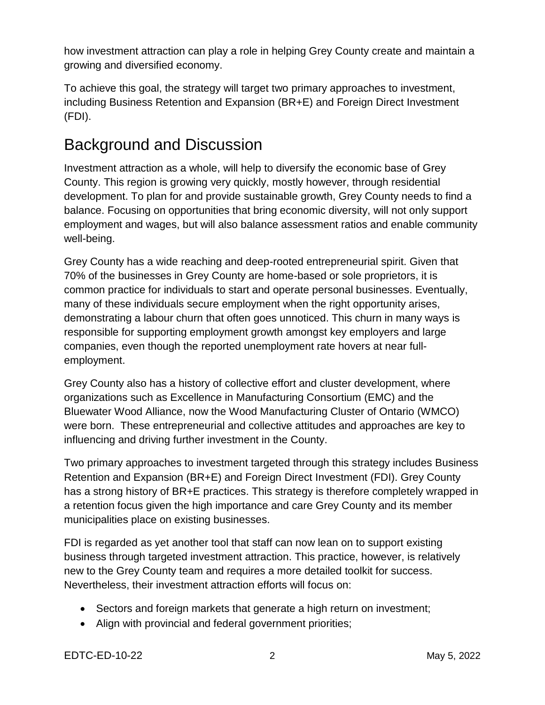how investment attraction can play a role in helping Grey County create and maintain a growing and diversified economy.

To achieve this goal, the strategy will target two primary approaches to investment, including Business Retention and Expansion (BR+E) and Foreign Direct Investment (FDI).

### Background and Discussion

Investment attraction as a whole, will help to diversify the economic base of Grey County. This region is growing very quickly, mostly however, through residential development. To plan for and provide sustainable growth, Grey County needs to find a balance. Focusing on opportunities that bring economic diversity, will not only support employment and wages, but will also balance assessment ratios and enable community well-being.

Grey County has a wide reaching and deep-rooted entrepreneurial spirit. Given that 70% of the businesses in Grey County are home-based or sole proprietors, it is common practice for individuals to start and operate personal businesses. Eventually, many of these individuals secure employment when the right opportunity arises, demonstrating a labour churn that often goes unnoticed. This churn in many ways is responsible for supporting employment growth amongst key employers and large companies, even though the reported unemployment rate hovers at near fullemployment.

Grey County also has a history of collective effort and cluster development, where organizations such as Excellence in Manufacturing Consortium (EMC) and the Bluewater Wood Alliance, now the Wood Manufacturing Cluster of Ontario (WMCO) were born. These entrepreneurial and collective attitudes and approaches are key to influencing and driving further investment in the County.

Two primary approaches to investment targeted through this strategy includes Business Retention and Expansion (BR+E) and Foreign Direct Investment (FDI). Grey County has a strong history of BR+E practices. This strategy is therefore completely wrapped in a retention focus given the high importance and care Grey County and its member municipalities place on existing businesses.

FDI is regarded as yet another tool that staff can now lean on to support existing business through targeted investment attraction. This practice, however, is relatively new to the Grey County team and requires a more detailed toolkit for success. Nevertheless, their investment attraction efforts will focus on:

- Sectors and foreign markets that generate a high return on investment;
- Align with provincial and federal government priorities;

EDTC-ED-10-22 2 May 5, 2022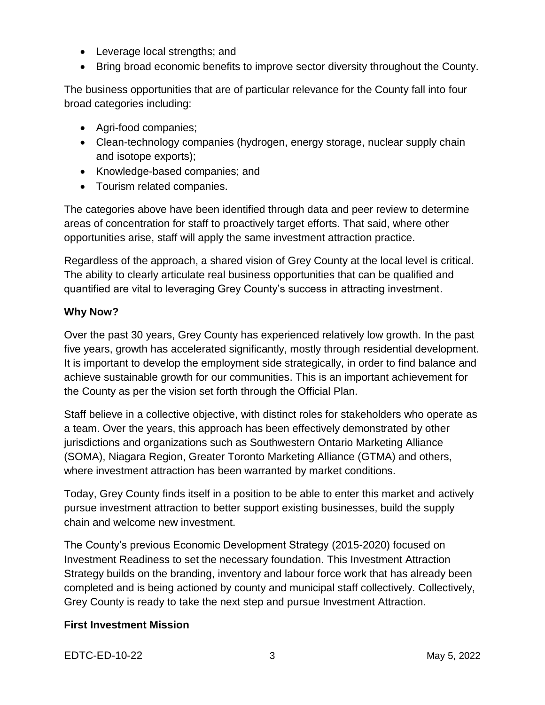- Leverage local strengths; and
- Bring broad economic benefits to improve sector diversity throughout the County.

The business opportunities that are of particular relevance for the County fall into four broad categories including:

- Agri-food companies;
- Clean-technology companies (hydrogen, energy storage, nuclear supply chain and isotope exports);
- Knowledge-based companies; and
- Tourism related companies.

The categories above have been identified through data and peer review to determine areas of concentration for staff to proactively target efforts. That said, where other opportunities arise, staff will apply the same investment attraction practice.

Regardless of the approach, a shared vision of Grey County at the local level is critical. The ability to clearly articulate real business opportunities that can be qualified and quantified are vital to leveraging Grey County's success in attracting investment.

#### **Why Now?**

Over the past 30 years, Grey County has experienced relatively low growth. In the past five years, growth has accelerated significantly, mostly through residential development. It is important to develop the employment side strategically, in order to find balance and achieve sustainable growth for our communities. This is an important achievement for the County as per the vision set forth through the Official Plan.

Staff believe in a collective objective, with distinct roles for stakeholders who operate as a team. Over the years, this approach has been effectively demonstrated by other jurisdictions and organizations such as Southwestern Ontario Marketing Alliance (SOMA), Niagara Region, Greater Toronto Marketing Alliance (GTMA) and others, where investment attraction has been warranted by market conditions.

Today, Grey County finds itself in a position to be able to enter this market and actively pursue investment attraction to better support existing businesses, build the supply chain and welcome new investment.

The County's previous Economic Development Strategy (2015-2020) focused on Investment Readiness to set the necessary foundation. This Investment Attraction Strategy builds on the branding, inventory and labour force work that has already been completed and is being actioned by county and municipal staff collectively. Collectively, Grey County is ready to take the next step and pursue Investment Attraction.

#### **First Investment Mission**

EDTC-ED-10-22 3 May 5, 2022